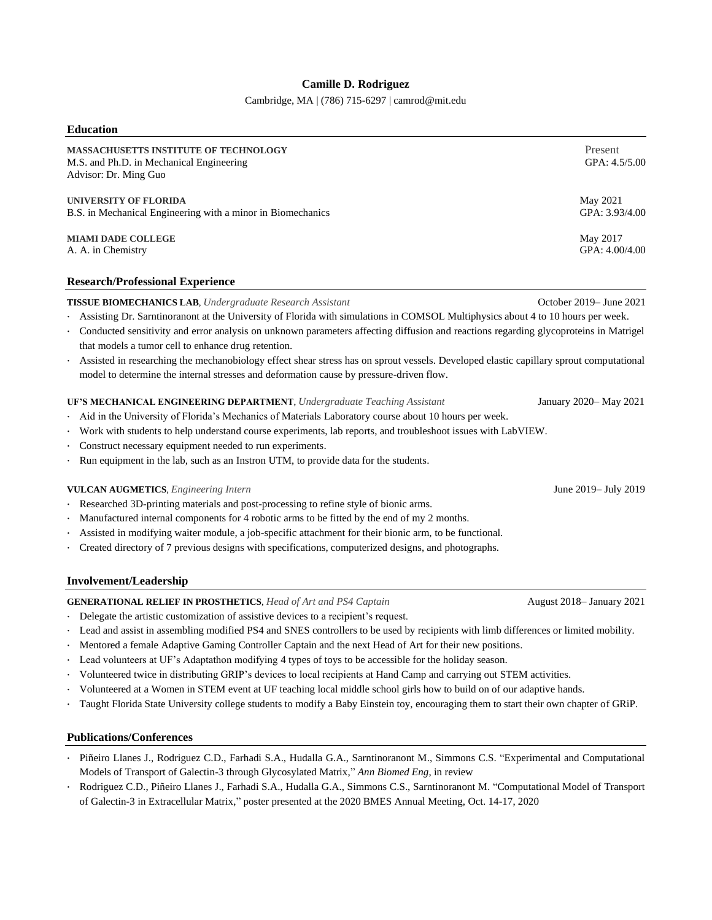## **Camille D. Rodriguez**

Cambridge, MA | (786) 715-6297 | camrod@mit.edu

| <b>Education</b>                                                                                                  |                            |
|-------------------------------------------------------------------------------------------------------------------|----------------------------|
| <b>MASSACHUSETTS INSTITUTE OF TECHNOLOGY</b><br>M.S. and Ph.D. in Mechanical Engineering<br>Advisor: Dr. Ming Guo | Present<br>GPA: 4.5/5.00   |
| UNIVERSITY OF FLORIDA<br>B.S. in Mechanical Engineering with a minor in Biomechanics                              | May 2021<br>GPA: 3.93/4.00 |
| <b>MIAMI DADE COLLEGE</b><br>A. A. in Chemistry                                                                   | May 2017<br>GPA: 4.00/4.00 |
|                                                                                                                   |                            |

## **Research/Professional Experience**

**TISSUE BIOMECHANICS LAB**, *Undergraduate Research Assistant* October 2019– June 2021

- · Assisting Dr. Sarntinoranont at the University of Florida with simulations in COMSOL Multiphysics about 4 to 10 hours per week.
- · Conducted sensitivity and error analysis on unknown parameters affecting diffusion and reactions regarding glycoproteins in Matrigel that models a tumor cell to enhance drug retention.
- · Assisted in researching the mechanobiology effect shear stress has on sprout vessels. Developed elastic capillary sprout computational model to determine the internal stresses and deformation cause by pressure-driven flow.

### **UF'S MECHANICAL ENGINEERING DEPARTMENT**, *Undergraduate Teaching Assistant* January 2020– May 2021

- Aid in the University of Florida's Mechanics of Materials Laboratory course about 10 hours per week.
- · Work with students to help understand course experiments, lab reports, and troubleshoot issues with LabVIEW.
- · Construct necessary equipment needed to run experiments.
- Run equipment in the lab, such as an Instron UTM, to provide data for the students.

#### **VULCAN AUGMETICS**, *Engineering Intern* June 2019– July 2019

- Researched 3D-printing materials and post-processing to refine style of bionic arms.
- Manufactured internal components for 4 robotic arms to be fitted by the end of my 2 months.
- Assisted in modifying waiter module, a job-specific attachment for their bionic arm, to be functional.
- · Created directory of 7 previous designs with specifications, computerized designs, and photographs.

#### **Involvement/Leadership**

### **GENERATIONAL RELIEF IN PROSTHETICS**, *Head of Art and PS4 Captain* August 2018– January 2021

- · Delegate the artistic customization of assistive devices to a recipient's request.
- · Lead and assist in assembling modified PS4 and SNES controllers to be used by recipients with limb differences or limited mobility.
- Mentored a female Adaptive Gaming Controller Captain and the next Head of Art for their new positions.
- Lead volunteers at UF's Adaptathon modifying 4 types of toys to be accessible for the holiday season.
- · Volunteered twice in distributing GRIP's devices to local recipients at Hand Camp and carrying out STEM activities.
- · Volunteered at a Women in STEM event at UF teaching local middle school girls how to build on of our adaptive hands.
- · Taught Florida State University college students to modify a Baby Einstein toy, encouraging them to start their own chapter of GRiP.

#### **Publications/Conferences**

- Piñeiro Llanes J., Rodriguez C.D., Farhadi S.A., Hudalla G.A., Sarntinoranont M., Simmons C.S. "Experimental and Computational Models of Transport of Galectin-3 through Glycosylated Matrix," *Ann Biomed Eng*, in review
- · Rodriguez C.D., Piñeiro Llanes J., Farhadi S.A., Hudalla G.A., Simmons C.S., Sarntinoranont M. "Computational Model of Transport of Galectin-3 in Extracellular Matrix," poster presented at the 2020 BMES Annual Meeting, Oct. 14-17, 2020